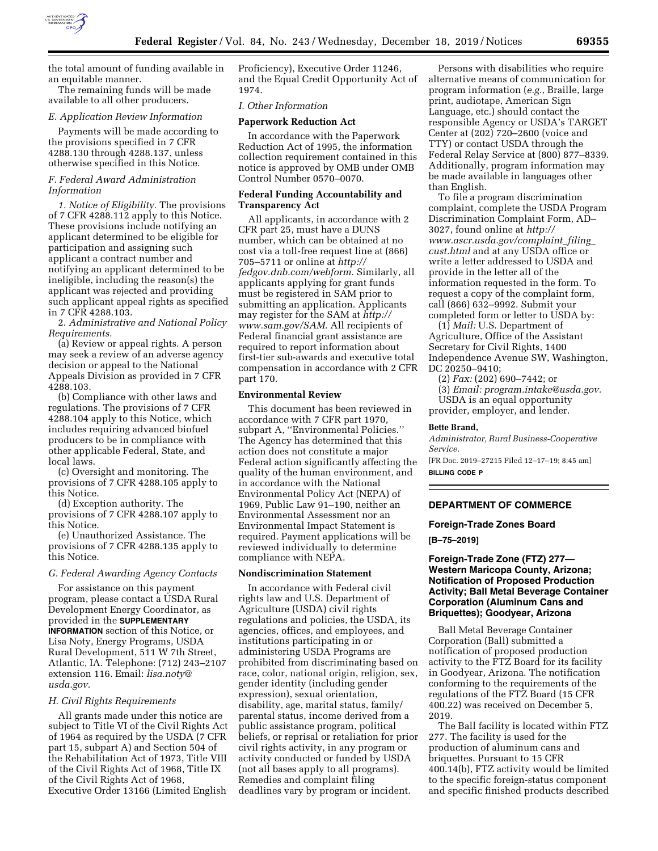

the total amount of funding available in an equitable manner.

The remaining funds will be made available to all other producers.

#### *E. Application Review Information*

Payments will be made according to the provisions specified in 7 CFR 4288.130 through 4288.137, unless otherwise specified in this Notice.

### *F. Federal Award Administration Information*

*1. Notice of Eligibility.* The provisions of 7 CFR 4288.112 apply to this Notice. These provisions include notifying an applicant determined to be eligible for participation and assigning such applicant a contract number and notifying an applicant determined to be ineligible, including the reason(s) the applicant was rejected and providing such applicant appeal rights as specified in 7 CFR 4288.103.

2. *Administrative and National Policy Requirements.* 

(a) Review or appeal rights. A person may seek a review of an adverse agency decision or appeal to the National Appeals Division as provided in 7 CFR 4288.103.

(b) Compliance with other laws and regulations. The provisions of 7 CFR 4288.104 apply to this Notice, which includes requiring advanced biofuel producers to be in compliance with other applicable Federal, State, and local laws.

(c) Oversight and monitoring. The provisions of 7 CFR 4288.105 apply to this Notice.

(d) Exception authority. The provisions of 7 CFR 4288.107 apply to this Notice.

(e) Unauthorized Assistance. The provisions of 7 CFR 4288.135 apply to this Notice.

## *G. Federal Awarding Agency Contacts*

For assistance on this payment program, please contact a USDA Rural Development Energy Coordinator, as provided in the **SUPPLEMENTARY INFORMATION** section of this Notice, or Lisa Noty, Energy Programs, USDA Rural Development, 511 W 7th Street, Atlantic, IA. Telephone: (712) 243–2107 extension 116. Email: *[lisa.noty@](mailto:lisa.noty@usda.gov) [usda.gov.](mailto:lisa.noty@usda.gov)* 

#### *H. Civil Rights Requirements*

All grants made under this notice are subject to Title VI of the Civil Rights Act of 1964 as required by the USDA (7 CFR part 15, subpart A) and Section 504 of the Rehabilitation Act of 1973, Title VIII of the Civil Rights Act of 1968, Title IX of the Civil Rights Act of 1968, Executive Order 13166 (Limited English

Proficiency), Executive Order 11246, and the Equal Credit Opportunity Act of 1974.

# *I. Other Information*

## **Paperwork Reduction Act**

In accordance with the Paperwork Reduction Act of 1995, the information collection requirement contained in this notice is approved by OMB under OMB Control Number 0570–0070.

## **Federal Funding Accountability and Transparency Act**

All applicants, in accordance with 2 CFR part 25, must have a DUNS number, which can be obtained at no cost via a toll-free request line at (866) 705–5711 or online at *[http://](http://fedgov.dnb.com/webform)  [fedgov.dnb.com/webform.](http://fedgov.dnb.com/webform)* Similarly, all applicants applying for grant funds must be registered in SAM prior to submitting an application. Applicants may register for the SAM at *[http://](http://www.sam.gov/SAM) [www.sam.gov/SAM.](http://www.sam.gov/SAM)* All recipients of Federal financial grant assistance are required to report information about first-tier sub-awards and executive total compensation in accordance with 2 CFR part 170.

## **Environmental Review**

This document has been reviewed in accordance with 7 CFR part 1970, subpart A, ''Environmental Policies.'' The Agency has determined that this action does not constitute a major Federal action significantly affecting the quality of the human environment, and in accordance with the National Environmental Policy Act (NEPA) of 1969, Public Law 91–190, neither an Environmental Assessment nor an Environmental Impact Statement is required. Payment applications will be reviewed individually to determine compliance with NEPA.

#### **Nondiscrimination Statement**

In accordance with Federal civil rights law and U.S. Department of Agriculture (USDA) civil rights regulations and policies, the USDA, its agencies, offices, and employees, and institutions participating in or administering USDA Programs are prohibited from discriminating based on race, color, national origin, religion, sex, gender identity (including gender expression), sexual orientation, disability, age, marital status, family/ parental status, income derived from a public assistance program, political beliefs, or reprisal or retaliation for prior civil rights activity, in any program or activity conducted or funded by USDA (not all bases apply to all programs). Remedies and complaint filing deadlines vary by program or incident.

Persons with disabilities who require alternative means of communication for program information (*e.g.,* Braille, large print, audiotape, American Sign Language, etc.) should contact the responsible Agency or USDA's TARGET Center at (202) 720–2600 (voice and TTY) or contact USDA through the Federal Relay Service at (800) 877–8339. Additionally, program information may be made available in languages other than English.

To file a program discrimination complaint, complete the USDA Program Discrimination Complaint Form, AD– 3027, found online at *[http://](http://www.ascr.usda.gov/complaint_filing_cust.html) [www.ascr.usda.gov/complaint](http://www.ascr.usda.gov/complaint_filing_cust.html)*\_*filing*\_ *[cust.html](http://www.ascr.usda.gov/complaint_filing_cust.html)* and at any USDA office or write a letter addressed to USDA and provide in the letter all of the information requested in the form. To request a copy of the complaint form, call (866) 632–9992. Submit your completed form or letter to USDA by:

(1) *Mail:* U.S. Department of Agriculture, Office of the Assistant Secretary for Civil Rights, 1400 Independence Avenue SW, Washington, DC 20250–9410;

(2) *Fax:* (202) 690–7442; or

(3) *Email: [program.intake@usda.gov.](mailto:program.intake@usda.gov)*  USDA is an equal opportunity provider, employer, and lender.

#### **Bette Brand,**

*Administrator, Rural Business-Cooperative Service.* 

[FR Doc. 2019–27215 Filed 12–17–19; 8:45 am] **BILLING CODE P** 

# **DEPARTMENT OF COMMERCE**

## **Foreign-Trade Zones Board**

**[B–75–2019]** 

# **Foreign-Trade Zone (FTZ) 277— Western Maricopa County, Arizona; Notification of Proposed Production Activity; Ball Metal Beverage Container Corporation (Aluminum Cans and Briquettes); Goodyear, Arizona**

Ball Metal Beverage Container Corporation (Ball) submitted a notification of proposed production activity to the FTZ Board for its facility in Goodyear, Arizona. The notification conforming to the requirements of the regulations of the FTZ Board (15 CFR 400.22) was received on December 5, 2019.

The Ball facility is located within FTZ 277. The facility is used for the production of aluminum cans and briquettes. Pursuant to 15 CFR 400.14(b), FTZ activity would be limited to the specific foreign-status component and specific finished products described